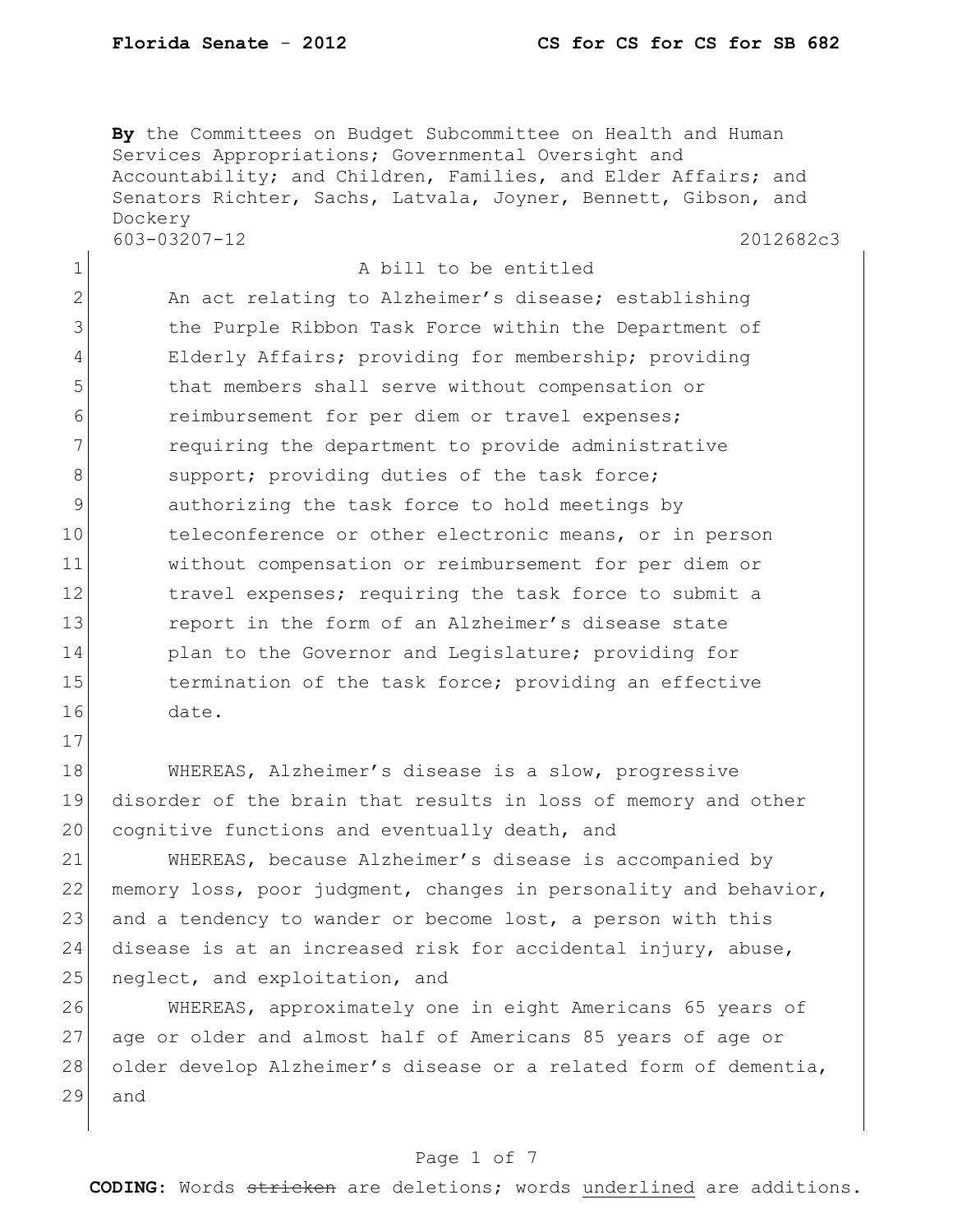17

**By** the Committees on Budget Subcommittee on Health and Human Services Appropriations; Governmental Oversight and Accountability; and Children, Families, and Elder Affairs; and Senators Richter, Sachs, Latvala, Joyner, Bennett, Gibson, and Dockery 603-03207-12 2012682c3

1 a bill to be entitled 2 An act relating to Alzheimer's disease; establishing 3 1 12 the Purple Ribbon Task Force within the Department of 4 Elderly Affairs; providing for membership; providing 5 that members shall serve without compensation or 6 **6** reimbursement for per diem or travel expenses; 7 **requiring the department to provide administrative** 8 support; providing duties of the task force; 9 authorizing the task force to hold meetings by 10 teleconference or other electronic means, or in person 11 without compensation or reimbursement for per diem or 12 12 travel expenses; requiring the task force to submit a 13 13 report in the form of an Alzheimer's disease state 14 plan to the Governor and Legislature; providing for 15 15 termination of the task force; providing an effective 16 date.

18 WHEREAS, Alzheimer's disease is a slow, progressive 19 disorder of the brain that results in loss of memory and other 20 cognitive functions and eventually death, and

21 WHEREAS, because Alzheimer's disease is accompanied by 22 memory loss, poor judgment, changes in personality and behavior, 23 and a tendency to wander or become lost, a person with this 24 disease is at an increased risk for accidental injury, abuse, 25 neglect, and exploitation, and

26 WHEREAS, approximately one in eight Americans 65 years of 27 age or older and almost half of Americans 85 years of age or 28 older develop Alzheimer's disease or a related form of dementia, 29 and

#### Page 1 of 7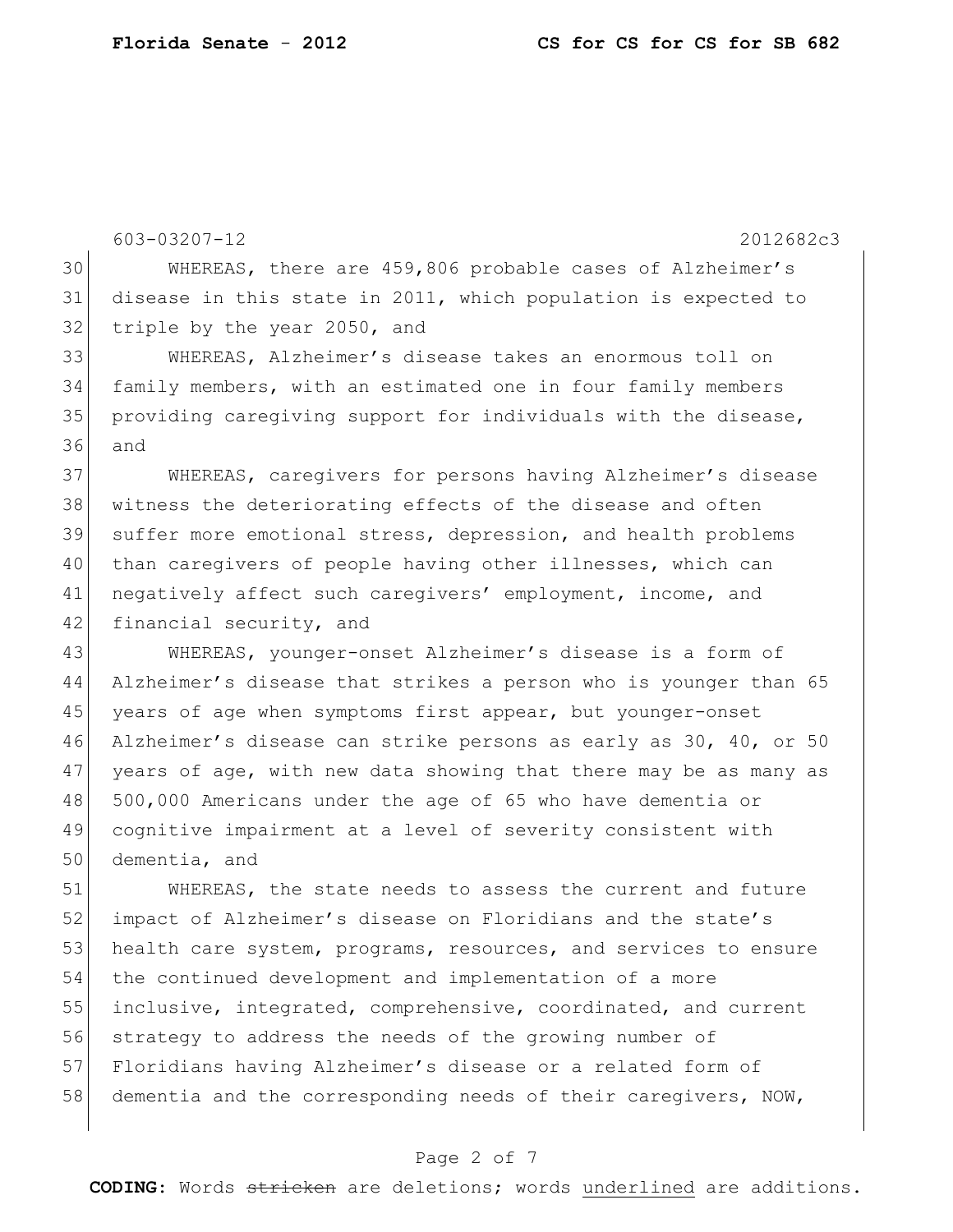603-03207-12 2012682c3 30 WHEREAS, there are 459,806 probable cases of Alzheimer's 31 disease in this state in 2011, which population is expected to 32 triple by the year 2050, and 33 WHEREAS, Alzheimer's disease takes an enormous toll on 34 family members, with an estimated one in four family members 35 providing caregiving support for individuals with the disease, 36 and

37 WHEREAS, caregivers for persons having Alzheimer's disease 38 | witness the deteriorating effects of the disease and often 39 suffer more emotional stress, depression, and health problems 40 than caregivers of people having other illnesses, which can 41 negatively affect such caregivers' employment, income, and 42 financial security, and

 WHEREAS, younger-onset Alzheimer's disease is a form of Alzheimer's disease that strikes a person who is younger than 65 45 years of age when symptoms first appear, but younger-onset Alzheimer's disease can strike persons as early as 30, 40, or 50 years of age, with new data showing that there may be as many as 500,000 Americans under the age of 65 who have dementia or cognitive impairment at a level of severity consistent with dementia, and

 WHEREAS, the state needs to assess the current and future 52 impact of Alzheimer's disease on Floridians and the state's 53 health care system, programs, resources, and services to ensure the continued development and implementation of a more inclusive, integrated, comprehensive, coordinated, and current strategy to address the needs of the growing number of Floridians having Alzheimer's disease or a related form of 58 dementia and the corresponding needs of their caregivers, NOW,

#### Page 2 of 7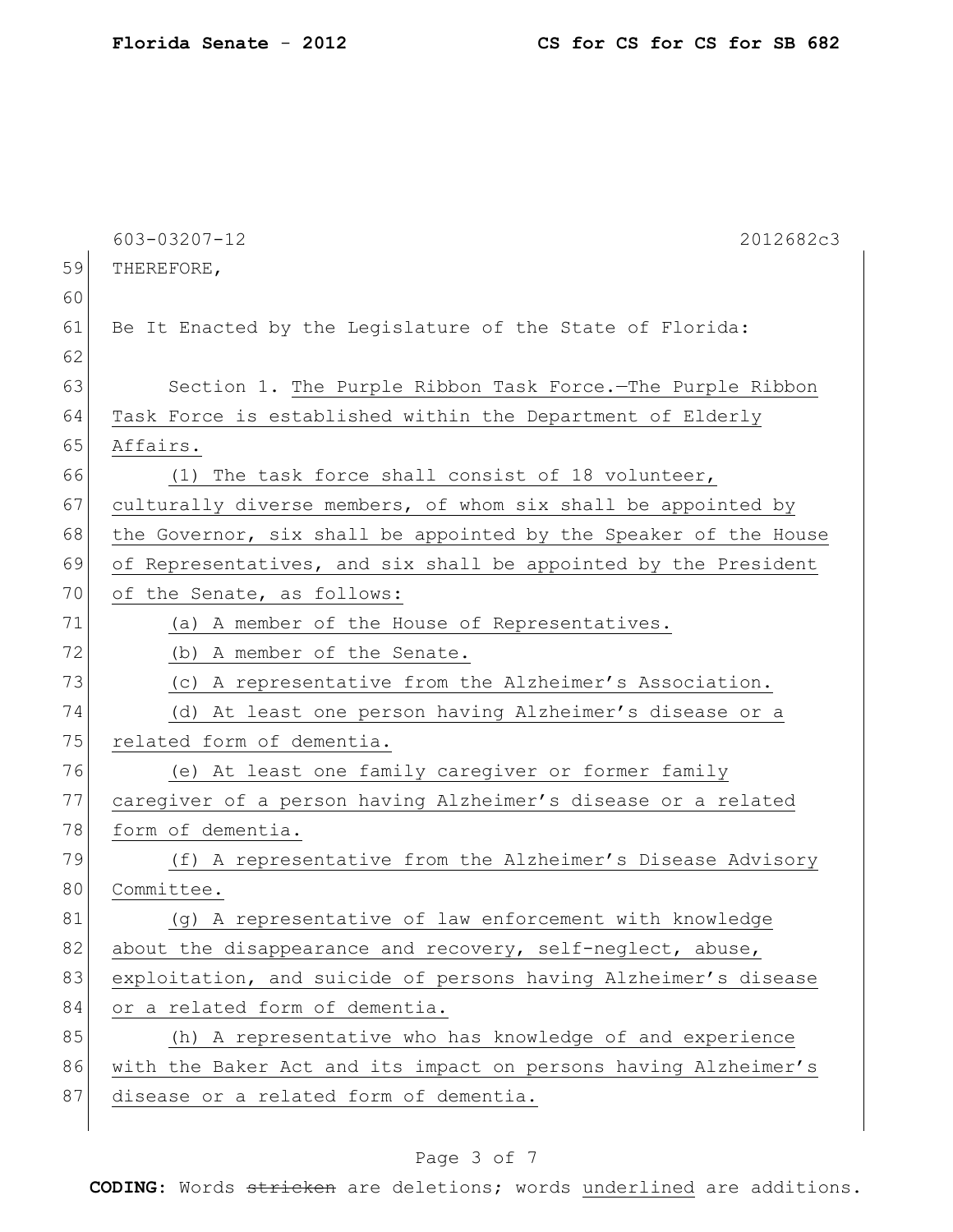|    | 603-03207-12<br>2012682c3                                        |
|----|------------------------------------------------------------------|
| 59 | THEREFORE,                                                       |
| 60 |                                                                  |
| 61 | Be It Enacted by the Legislature of the State of Florida:        |
| 62 |                                                                  |
| 63 | Section 1. The Purple Ribbon Task Force.-The Purple Ribbon       |
| 64 | Task Force is established within the Department of Elderly       |
| 65 | Affairs.                                                         |
| 66 | (1) The task force shall consist of 18 volunteer,                |
| 67 | culturally diverse members, of whom six shall be appointed by    |
| 68 | the Governor, six shall be appointed by the Speaker of the House |
| 69 | of Representatives, and six shall be appointed by the President  |
| 70 | of the Senate, as follows:                                       |
| 71 | (a) A member of the House of Representatives.                    |
| 72 | (b) A member of the Senate.                                      |
| 73 | (c) A representative from the Alzheimer's Association.           |
| 74 | (d) At least one person having Alzheimer's disease or a          |
| 75 | related form of dementia.                                        |
| 76 | (e) At least one family caregiver or former family               |
| 77 | caregiver of a person having Alzheimer's disease or a related    |
| 78 | form of dementia.                                                |
| 79 | (f) A representative from the Alzheimer's Disease Advisory       |
| 80 | Committee.                                                       |
| 81 | (g) A representative of law enforcement with knowledge           |
| 82 | about the disappearance and recovery, self-neglect, abuse,       |
| 83 | exploitation, and suicide of persons having Alzheimer's disease  |
| 84 | or a related form of dementia.                                   |
| 85 | (h) A representative who has knowledge of and experience         |
| 86 | with the Baker Act and its impact on persons having Alzheimer's  |
| 87 | disease or a related form of dementia.                           |
|    |                                                                  |

## Page 3 of 7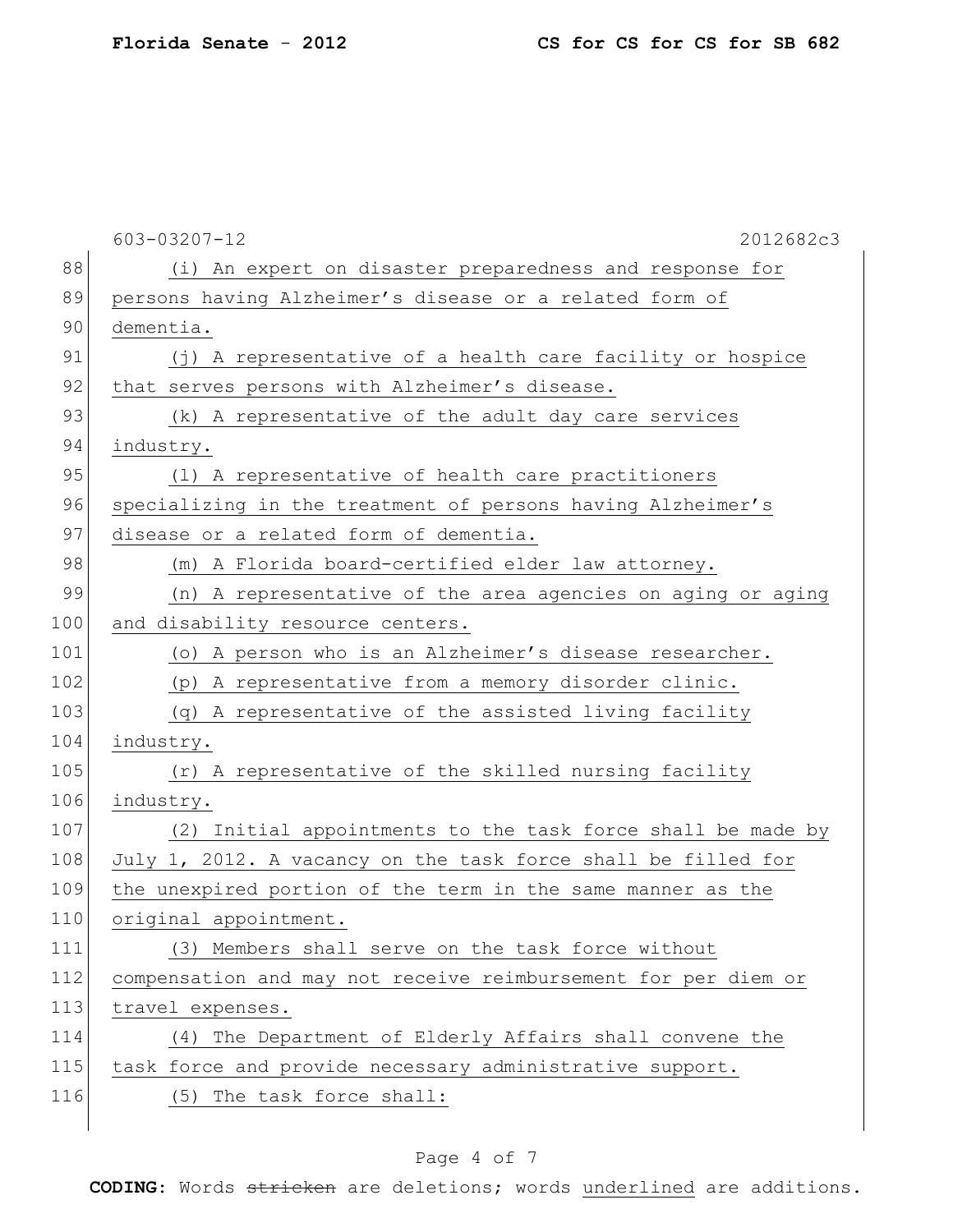|     | 603-03207-12<br>2012682c3                                      |
|-----|----------------------------------------------------------------|
| 88  | (i) An expert on disaster preparedness and response for        |
| 89  | persons having Alzheimer's disease or a related form of        |
| 90  | dementia.                                                      |
| 91  | (j) A representative of a health care facility or hospice      |
| 92  | that serves persons with Alzheimer's disease.                  |
| 93  | (k) A representative of the adult day care services            |
| 94  | industry.                                                      |
| 95  | (1) A representative of health care practitioners              |
| 96  | specializing in the treatment of persons having Alzheimer's    |
| 97  | disease or a related form of dementia.                         |
| 98  | (m) A Florida board-certified elder law attorney.              |
| 99  | (n) A representative of the area agencies on aging or aging    |
| 100 | and disability resource centers.                               |
| 101 | (o) A person who is an Alzheimer's disease researcher.         |
| 102 | (p) A representative from a memory disorder clinic.            |
| 103 | (q) A representative of the assisted living facility           |
| 104 | industry.                                                      |
| 105 | (r) A representative of the skilled nursing facility           |
| 106 | industry.                                                      |
| 107 | (2) Initial appointments to the task force shall be made by    |
| 108 | July 1, 2012. A vacancy on the task force shall be filled for  |
| 109 | the unexpired portion of the term in the same manner as the    |
| 110 | original appointment.                                          |
| 111 | (3) Members shall serve on the task force without              |
| 112 | compensation and may not receive reimbursement for per diem or |
| 113 | travel expenses.                                               |
| 114 | (4) The Department of Elderly Affairs shall convene the        |
| 115 | task force and provide necessary administrative support.       |
| 116 | (5) The task force shall:                                      |
|     |                                                                |

## Page 4 of 7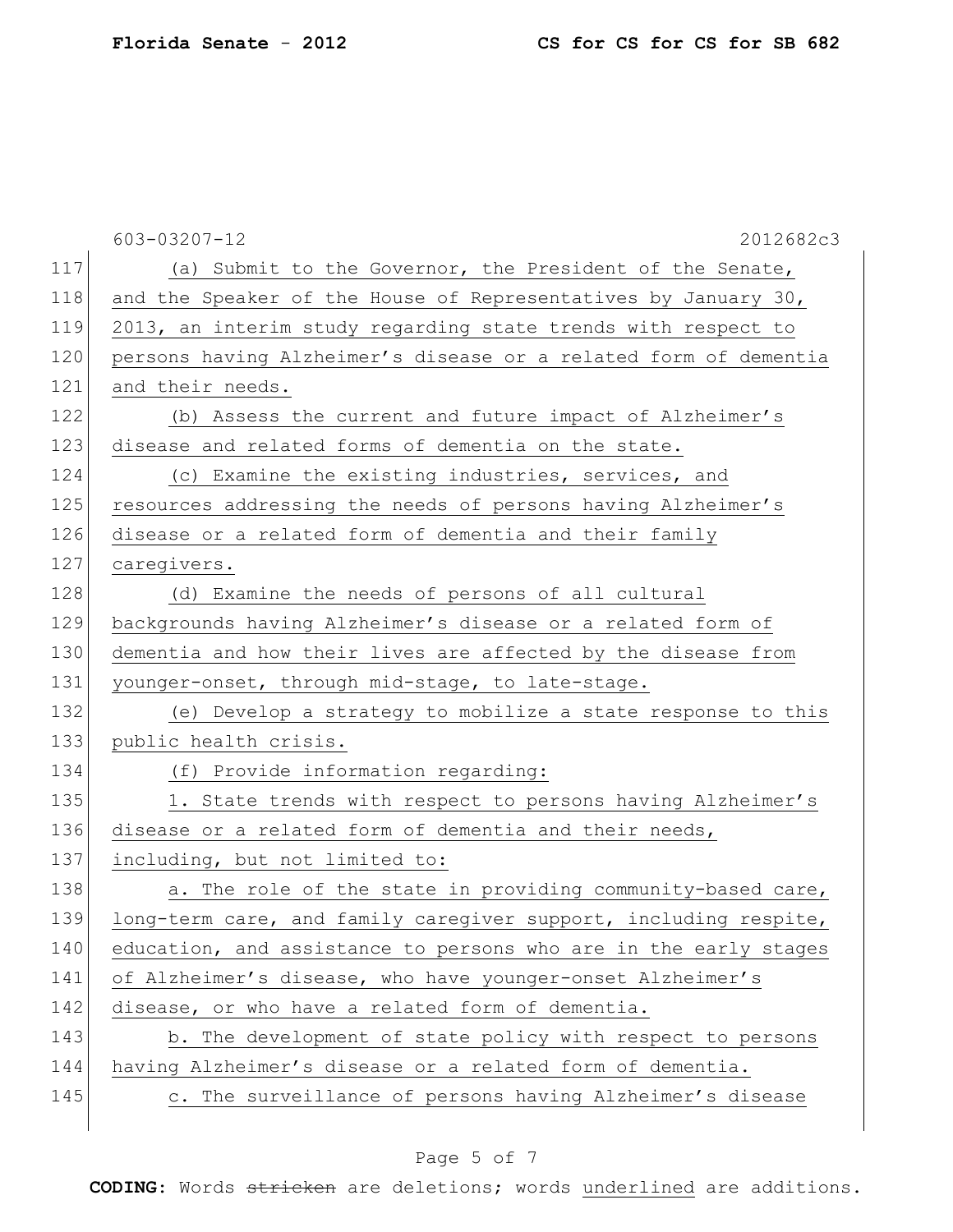|     | $603 - 03207 - 12$<br>2012682c3                                  |
|-----|------------------------------------------------------------------|
| 117 | (a) Submit to the Governor, the President of the Senate,         |
| 118 | and the Speaker of the House of Representatives by January 30,   |
| 119 | 2013, an interim study regarding state trends with respect to    |
| 120 | persons having Alzheimer's disease or a related form of dementia |
| 121 | and their needs.                                                 |
| 122 | (b) Assess the current and future impact of Alzheimer's          |
| 123 | disease and related forms of dementia on the state.              |
| 124 | (c) Examine the existing industries, services, and               |
| 125 | resources addressing the needs of persons having Alzheimer's     |
| 126 | disease or a related form of dementia and their family           |
| 127 | caregivers.                                                      |
| 128 | (d) Examine the needs of persons of all cultural                 |
| 129 | backgrounds having Alzheimer's disease or a related form of      |
| 130 | dementia and how their lives are affected by the disease from    |
| 131 | younger-onset, through mid-stage, to late-stage.                 |
| 132 | (e) Develop a strategy to mobilize a state response to this      |
| 133 | public health crisis.                                            |
| 134 | (f) Provide information regarding:                               |
| 135 | 1. State trends with respect to persons having Alzheimer's       |
| 136 | disease or a related form of dementia and their needs,           |
| 137 | including, but not limited to:                                   |
| 138 | a. The role of the state in providing community-based care,      |
| 139 | long-term care, and family caregiver support, including respite, |
| 140 | education, and assistance to persons who are in the early stages |
| 141 | of Alzheimer's disease, who have younger-onset Alzheimer's       |
| 142 | disease, or who have a related form of dementia.                 |
| 143 | b. The development of state policy with respect to persons       |
| 144 | having Alzheimer's disease or a related form of dementia.        |
| 145 | c. The surveillance of persons having Alzheimer's disease        |
|     |                                                                  |

## Page 5 of 7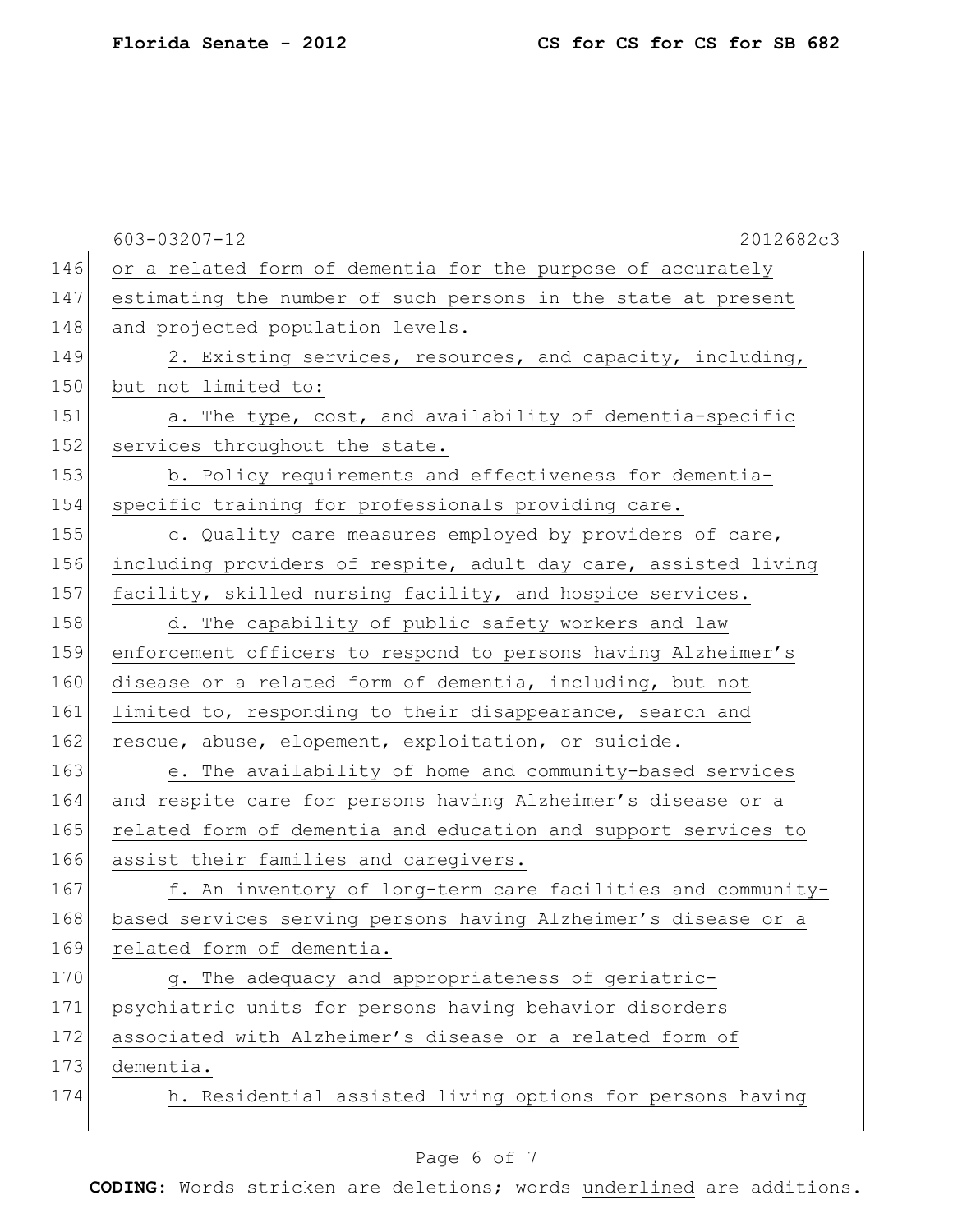|     | 603-03207-12<br>2012682c3                                       |
|-----|-----------------------------------------------------------------|
| 146 | or a related form of dementia for the purpose of accurately     |
| 147 | estimating the number of such persons in the state at present   |
| 148 | and projected population levels.                                |
| 149 | 2. Existing services, resources, and capacity, including,       |
| 150 | but not limited to:                                             |
| 151 | a. The type, cost, and availability of dementia-specific        |
| 152 | services throughout the state.                                  |
| 153 | b. Policy requirements and effectiveness for dementia-          |
| 154 | specific training for professionals providing care.             |
| 155 | c. Quality care measures employed by providers of care,         |
| 156 | including providers of respite, adult day care, assisted living |
| 157 | facility, skilled nursing facility, and hospice services.       |
| 158 | d. The capability of public safety workers and law              |
| 159 | enforcement officers to respond to persons having Alzheimer's   |
| 160 | disease or a related form of dementia, including, but not       |
| 161 | limited to, responding to their disappearance, search and       |
| 162 | rescue, abuse, elopement, exploitation, or suicide.             |
| 163 | e. The availability of home and community-based services        |
| 164 | and respite care for persons having Alzheimer's disease or a    |
| 165 | related form of dementia and education and support services to  |
| 166 | assist their families and caregivers.                           |
| 167 | f. An inventory of long-term care facilities and community-     |
| 168 | based services serving persons having Alzheimer's disease or a  |
| 169 | related form of dementia.                                       |
| 170 | g. The adequacy and appropriateness of geriatric-               |
| 171 | psychiatric units for persons having behavior disorders         |
| 172 | associated with Alzheimer's disease or a related form of        |
| 173 | dementia.                                                       |
| 174 | h. Residential assisted living options for persons having       |
|     |                                                                 |

## Page 6 of 7